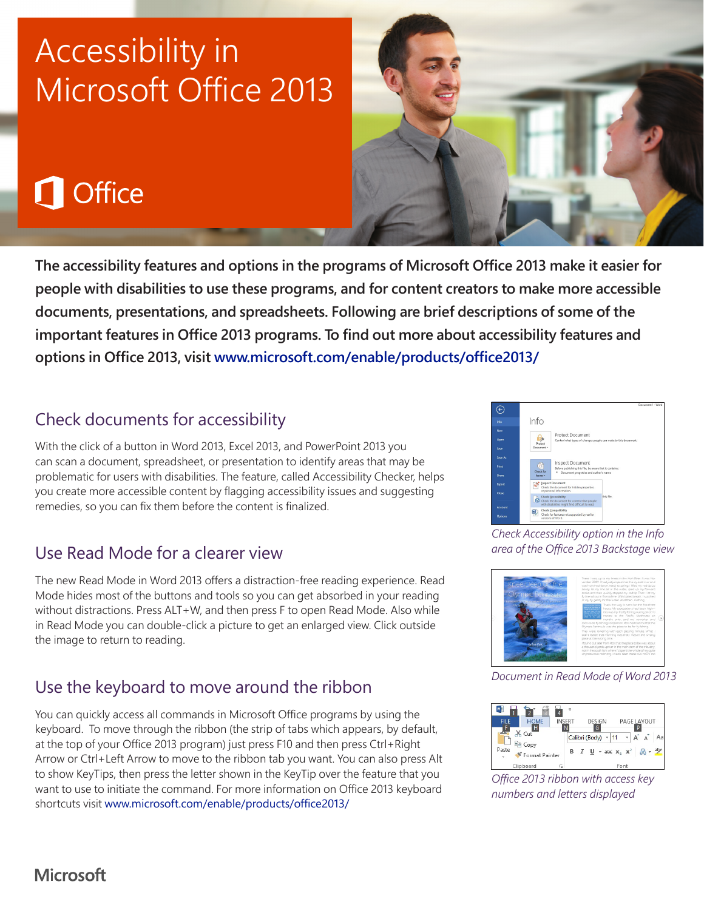# Accessibility in Microsoft Office 2013

# Office

**The accessibility features and options in the programs of Microsoft Office 2013 make it easier for people with disabilities to use these programs, and for content creators to make more accessible documents, presentations, and spreadsheets. Following are brief descriptions of some of the important features in Office 2013 programs. To find out more about accessibility features and options in Office 2013, visit www.microsoft.com/enable/products/office2013/**

### Check documents for accessibility

With the click of a button in Word 2013, Excel 2013, and PowerPoint 2013 you can scan a document, spreadsheet, or presentation to identify areas that may be problematic for users with disabilities. The feature, called Accessibility Checker, helps you create more accessible content by flagging accessibility issues and suggesting remedies, so you can fix them before the content is finalized.

### Use Read Mode for a clearer view

The new Read Mode in Word 2013 offers a distraction-free reading experience. Read Mode hides most of the buttons and tools so you can get absorbed in your reading without distractions. Press ALT+W, and then press F to open Read Mode. Also while in Read Mode you can double-click a picture to get an enlarged view. Click outside the image to return to reading.

### Use the keyboard to move around the ribbon

You can quickly access all commands in Microsoft Office programs by using the keyboard. To move through the ribbon (the strip of tabs which appears, by default, at the top of your Office 2013 program) just press F10 and then press Ctrl+Right Arrow or Ctrl+Left Arrow to move to the ribbon tab you want. You can also press Alt to show KeyTips, then press the letter shown in the KeyTip over the feature that you want to use to initiate the command. For more information on Office 2013 keyboard shortcuts visit www.microsoft.com/enable/products/office2013/

Info

*Check Accessibility option in the Info area of the Office 2013 Backstage view*



*Document in Read Mode of Word 2013*



*Office 2013 ribbon with access key numbers and letters displayed*